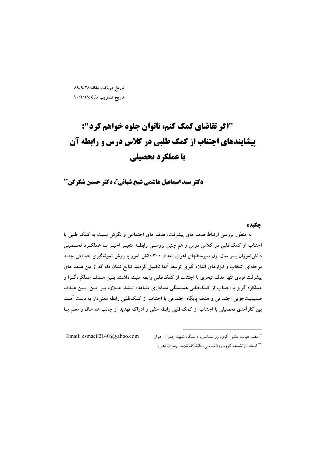تاريخ دريافت مقاله:٨٩/٩/٢٨ تاريخ تصويب مقاله:٩٠/٢/٢٨

# "اگر تقاضای کمک کنم، ناتوان جلوه خواهم کرد": **پیشایندهای اجتناب از کمک طلبی در کلاس درس و رابطه آن** با عملکرد تحصیلی

دکتر سید اسماعیل هاشمی شیخ شبانی\*، دکتر حسین شکرکن\*\*

# حكىده

به منظور بررسی ارتباط هدف های پیشرفت، هدف های اجتماعی و نگرش نسبت به کمک طلبی با اجتناب از کمکاطلبی در کلاس درس و هم چنین بررسـی رابطـه متغیــر اخیــر بــا عملکــرد تحــصیلی دانش آموزان پسر سال اول دبیرستانهای اهواز، تعداد ۳۰۰ دانش آموز با روش نمونهگیری تصادفی چنــد مرحلهای انتخاب و ابزارهای اندازه گیری توسط آنها تکمیل گردید. نتایج نشان داد که از بین هدف های پیشرفت فردی تنها هدف تبحری با اجتناب از کمکطلبی رابطه مثبت داشت. بسین هسدف عملکردگـرا و عملکرد گریز با اجتناب از کمکطلبی همبستگی معناداری مشاهده نــشد. عــلاوه بــر ایــن، بــین هــدف صمیمیتجویی اجتماعی و هدف پایگاه اجتماعی با اجتناب از کمکطلبی رابطه معنیدار به دست آمـد. بین کارآمدی تحصیلی با اجتناب از کمکطلبی رابطه منفی و ادراک تهدید از جانب هم سال و معلم بــا

Email: esmaeil2140@yahoo.com

<sup>\*</sup> عضو هیات علمی گروه روانشناسی، دانشگاه شهید چمران اهواز \*\* استاد بازنشسته گروه روانشناسی، دانشگاه شهید چمران اهواز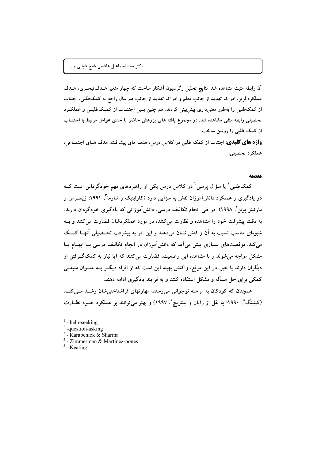آن رابطه مثبت مشاهده شد. نتایج تحلیل رگرسیون آشکار ساخت که چهار متغیر هــدفتبحــری، هــدف عملکر دگریز، ادراک تهدید از جانب معلم و ادراک تهدید از جانب هم سال راجع به کمکطلبی، اجتناب از کمکطلبی را بهطور معنیداری پیش بینی کردند. هم چنین بسین اجتنــاب از کمــکاطلبــی و عملکــرد تحصیلی رابطه منفی مشاهده شد. در مجموع یافته های یژوهش حاضر تا حدی عوامل مرتبط با اجتنــاب از کمک طلبی را روشن ساخت.

واژه های کلیدی: اجتناب از کمک طلبی در کلاس درس، هدف های پیشرفت، هدف هـای اجتمـاعی، عملکر د تحصیلی.

#### مقدمه

کمکطلبی ٰ یا سؤال پرسی ٗ در کلاس درس یکی از راهبردهای مهم خودگردانی است کــه در یادگیری و عملکرد دانشآموزان نقش به سزایی دارد (کارابنیک و شارما<sup>۳</sup>، ۱۹۹۴؛ زیمــرمن و مارتینز پونز ٔ، ۱۹۹۸). در طی انجام تکالیف درسی، دانش[موزانی که یادگیری خودگردان دارند. به دقت پیشرفت خود را مشاهده و نظارت می کنند، در مورد عملکردشان قضاوت می کنند و بـه شیوهای مناسب نسبت به آن واکنش نشان میدهند و این امر به پیشرفت تحـصیلی آنهـا کمـک می کند. موقعیتهای بسیاری پیش میآید که دانش آموزان در انجام تکالیف درسی بـا ابهــام یــا مشکل مواجه می شوند و با مشاهده این وضعیت، قضاوت می کنند که آیا نیاز به کمکگـرفتن از دیگران دارند یا خیر. در این موقع، واکنش بهینه این است که از افراد دیگــر بــه عنــوان منبعــی کمکی برای حل مسأله و مشکل استفاده کنند و به فرایند یادگیری ادامه دهند.

همچنان که کودکان به مرحله نوجوانی می رسند، مهارتهای فراشناختی شان رشـد مـی کنـد (کیتینگ<sup>0</sup>، ۱۹۹۰؛ به نقل از رایان و پینتریچ<sup>י</sup>، ۱۹۹۷) و بهتر می توانند بر عملکرد خــود نظــارت

- $<sup>1</sup>$  help-seeking</sup>
- $2$ -question-asking
- <sup>3</sup> Karabenick & Sharma
- $4$  Zimmerman & Martinez-pones
- $5$  Keating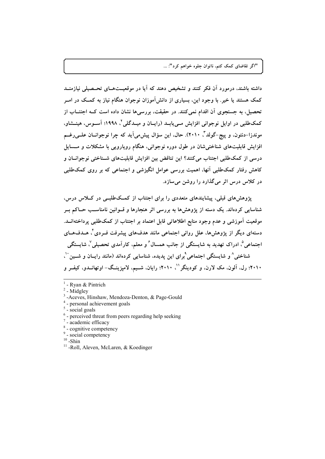داشته باشند، درمورد آن فکر کنند و تشخیص دهند که آیا در موقعیتههای تحتصیلی نیازمنید کمک هستند یا خیر . با وجود این، بسیاری از دانش آموزان نوجوان هنگام نیاز به کمک در امــر تحصیل، به جستجوی آن اقدام نمی کنند. در حقیقت، بررسی ها نشان داده است کــه اجتنــاب از کمکطلبی در اوایل نوجوانی افزایش مــی،پابــد (رایــان و میــدگلی <sup>۲</sup>، ۱۹۹۸؛ آســوس، هینــشاو، موندزا-دنتون، و پيج-گولد"، ٢٠١٠). حال، اين سؤال پيش مي آيد كه چرا نوجوانسان علــي رغــم افزایش قابلیتهای شناخته شان در طول دوره نوجوانی، هنگام روپارویی با مشکلات و مــسایل درسی از کمکطلبی اجتناب میکنند؟ این تناقض بین افزایش قابلیتهای شــناختی نوجوانــان و کاهش رفتار کمکطلبی آنها، اهمیت بررسی عوامل انگیزشی و اجتماعی که بر روی کمکطلبی در کلاس درس اثر میگذارد را روشن میسازد.

یژوهشهای قبلی، پیشاپندهای متعددی را برای اجتناب از کمکطلبـی در کــلاس درس، شناسایی کردهاند. یک دسته از پژوهشها به بررسی اثر هنجارها و قــوانین نامناسـب حــاکم بــر موقعیت آموزشی و عدم وجود منابع اطلاعاتی قابل اعتماد بر اجتناب از کمکطلبی پرداختهانــد. دستهای دیگر از پژوهشها، علل روانی اجتماعی مانند هدفهای پیشرفت فــردی ٔ هــدفهــای اجتماعی<sup>0</sup>، ادراک تهدید به شایستگی از جانب همسال ٔ و معلم، کارآمدی تحصیلی <sup>۷</sup>، شایستگی شناختی^ و شایستگی اجتماعی`برای این پدیده، شناسایی کردهاند (مانند رایــان و شــین ``، ۲۰۱۰؛ رل، آلون، مک لارن، و کودینگر ``، ۲۰۱۰؛ رایان، شــیم، لامپزینــگ− اوتهانــدو، کیفــر و

- <sup>3</sup>-Aceves, Hinshaw, Mendoza-Denton, & Page-Gould
- $4$  personal achievement goals

- <sup>6</sup> perceived threat from peers regarding help seeking
- $7$  academic efficacy
- <sup>8</sup> cognitive competency
- <sup>9</sup> social competency
- $10$  -Shin
- <sup>11</sup>-Roll, Aleven, McLaren, & Koedinger

 $1$  - Ryan & Pintrich

 $2$  - Midgley

 $5$  - social goals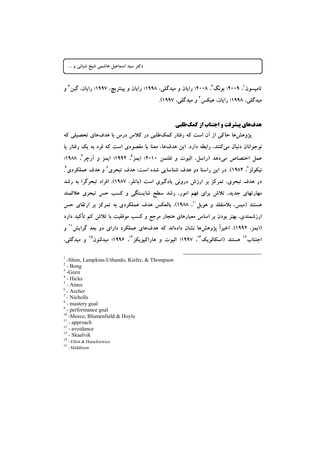دکتر سید اسماعیل هاشمی شیخ شبانی و …

تامیسون`، ۲۰۰۹؛ بونگ`، ۲۰۰۸؛ رایان و میدگلی، ۱۹۹۸؛ رایان و پینتریچ، ۱۹۹۷؛ رایان، گین ّ و میدگلی، ۱۹۹۸؛ رایان، هیکس ٔ و میدگلی، ۱۹۹۷).

# هدفهای پیشرفت و اجتناب از کمک طلبی

یژوهش ها حاکی از آن است که رفتار کمکطلبی در کلاس درس با هدفهای تحصیلی که نوجوانان دنبال میکنند، رابطه دارد. این هدفها، معنا یا مقصودی است که فرد به یک رفتار یا عمل اختصاص مي،دهد (راسل، اليوت و فلتمن ٢٠١٠؛ ايمز°، ١٩٩٢؛ ايمز و آرچر°، ١٩٨٨؛ نيکولز ٬ ۱۹۸۴). در اين راستا دو هدف شناسايي شده است: هدف تبحري ٬ و هدف عملکر دي ٬ ـ در هدف تبحری، تمرکز بر ارزش درونی یادگیری است (باتلر، ۱۹۸۷). افراد تبحرگرا به رشد مهارتهای جدید. تلاش برای فهم امور، رشد سطح شایستگی و کسب حس تبحری علاقمند هستند (میس، بلامنفلد و هویل ْ '، ۱۹۸۸). بالعکس هدف عملکردی به تمرکز بر ارتقای حس ارزشمندی، بهتر بودن بر اساس معیارهای هنجار مرجع و کسب موفقیت با تلاش کم تأکید دارد (ایمز، ۱۹۹۲). اخیراً پژوهش۱ها نشان دادهاند که هدفهای عملکرد دارای دو بعد گرایش'` و اجتناب<sup>۱۷</sup> هستند (اسکالویک<sup>۳</sup>'، ۱۹۹۷؛ الیوت و هاراکیویکز<sup>۱۴</sup>، ۱۹۹۶؛ میدلتون<sup>۱۵</sup> و میدگلی،

- <sup>1</sup>-Shim, Lampkins-Uthando, Kiefer, & Thompson
- $2$  Bong
- $3$ -Geen
- $4$  Hicks
- $5$  Ames
- $6$  Archer
- $^7$  Nicholls
- <sup>8</sup> mastery goal
- <sup>9</sup> performance goal
- <sup>10</sup>-Meece, Blumenfield & Hoyle
- $11$  approach
- $12 2$  avoidance
- $^{13}$  Skaalvik
- $^{14}$  Elliot & Harackiewicz
- $^{15}$  Middleton  $\,$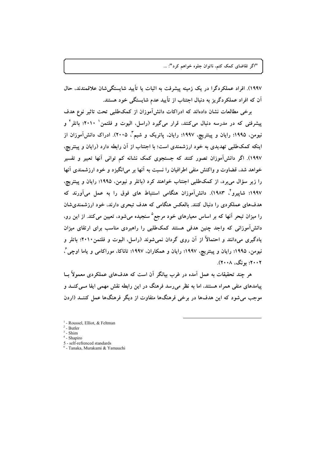١٩٩٧). افراد عملكردگرا در يک زمينه پيشرفت به اثبات يا تأييد شايستگي شان علاقمندند، حال آن که افراد عملکردگریز به دنبال اجتناب از تأیید عدم شایستگی خود هستند.

برخی مطالعات نشان دادهاند که ادراکات دانش آموزان از کمکطلبی تحت تاثیر نوع هدف پیشرفتی که در مدرسه دنبال میکنند، قرار میگیرد (راسل، الیوت و فلتمن ۲۰۱۰'؛ باتلر آ و نیومن، ۱۹۹۵؛ رایان و پینتریچ، ۱۹۹۷؛ رایان، پاتریک و شیم ٌ، ۲۰۰۵). ادراک دانش[موزان از اینکه کمکطلبی تهدیدی به خود ارزشمندی است؛ با اجتناب از آن رابطه دارد (رایان و پینتریچ، ١٩٩٧). اگر دانش آموزان تصور کنند که جستجوی کمک نشانه کم توانی آنها تعبیر و تفسیر خواهد شد، قضاوت و واكنش منفى اطرافيان را نسبت به آنها بر مى انگيزد و خود ارزشمندى آنها را زیر سؤال می برد، از کمکطلبی اجتناب خواهند کرد (باتلر و نیومن، ۱۹۹۵؛ رایان و پینتریچ، ۱۹۹۷؛ شاپیرو<sup>۲</sup>، ۱۹۸۳). دانشآموزان هنگامی استنباط های فوق را به عمل میآورند که هدفهای عملکردی را دنبال کنند. بالعکس هنگامی که هدف تبحری دارند، خود ارزشمندیشان را میزان تبحر آنها که بر اساس معیارهای خود مرجع<sup>۵</sup> سنجیده میشود، تعیین میکند. از این رو، دانش آموزانی که واجد چنین هدفی هستند کمکطلبی را راهبردی مناسب برای ارتقای میزان یادگیری میدانند و احتمالاً از آن روی گردان نمیشوند (راسل، الیوت و فلتمن۲۰۱۰؛ باتلر و نیومن، ۱۹۹۵؛ رایان و پینتریچ، ۱۹۹۷؛ رایان و همکاران، ۱۹۹۷؛ تاناکا، موراکامی و یاما اوچی ٔ، ۲۰۰۲؛ بونگ، ۲۰۰۸).

هر چند تحقیقات به عمل آمده در غرب بیانگر آن است که هدفهای عملکردی معمولاً بــا پیامدهای منفی همراه هستند، اما به نظر میرسد فرهنگ در این رابطه نقش مهمی ایفا مــیکنــد و موجب می شود که این هدفها در برخی فرهنگها متفاوت از دیگر فرهنگها عمل کننــد (اردن

 $<sup>1</sup>$  - Roussel, Elliot, & Feltman</sup>

 $2$  - Butler

 $3$  - Shim

 $4$  - Shapiro

<sup>5 -</sup> self-refrenced standards

<sup>&</sup>lt;sup>6</sup> - Tanaka, Murakami & Yamauchi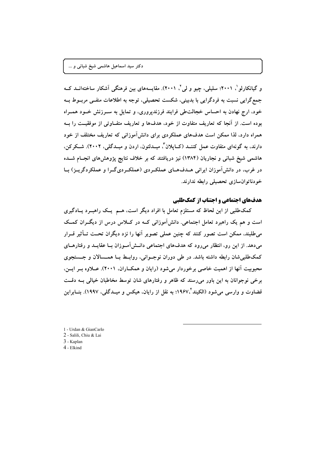و گیانکارلو '، ۲۰۰۱؛ سلیلی، چیو و لی '، ۲۰۰۱). مقایسههای بین فرهنگی آشکار ساختهانــد کــه جمع گرایی نسبت به فردگرایی با بدبینی، شکست تحصیلی، توجه به اطلاعات منفـی مربــوط بــه خود، ارج نهادن به احساس خجالتطی فرایند فرزندپروری، و تمایل به سـرزنش خــود همــراه بوده است. از آنجا که تعاریف متفاوت از خود، هدفها و تعاریف متفــاوتی از موفقیــت را بــه همراه دارد، لذا ممکن است هدفهای عملکردی برای دانش آموزانی که تعاریف مختلف از خود دارند، به گونهای متفاوت عمل کننــد (کــایلان"، میــدلتون، اردن و میــدگلمی، ۲۰۰۲). شــکرکن. هاشمی شیخ شبانی و نجاریان (۱۳۸۴) نیز دریافتند که بر خلاف نتایج پژوهش های انجـام شــده در غرب، در دانشآموزان ایرانی هـدفهـای عملکـردی (عملکـردیگـرا و عملکردگریـز) بـا خودناتوانسازی تحصیلی رابطه ندارند.

### هدفهای اجتماعی و اجتناب از کمک طلبی

کمکطلبی از این لحاظ که مستلزم تعامل با افراد دیگر است، هـم یـک راهبـرد یـادگیری است و هم یک راهبرد تعامل اجتماعی. دانش آموزانی کـه در کــلاس درس از دیگــران کمــک میطلبند، ممکن است تصور کنند که چنین عملی تصویر آنها را نزد دیگران تحـت تــأثیر قــرار میدهد. از این رو، انتظار میرود که هدفهای اجتماعی دانــشآمــوزان بــا عقایــد و رفتارهــای کمکطلبی شان رابطه داشته باشد. در طی دوران نوجـوانی، روابـط بــا همــسالان و جــستجوی محبوبیت آنها از اهمیت خاصی برخوردار میشود (رایان و همکــاران. ۲۰۰۱). عــلاوه بــر ایــن. برخی نوجوانان به این باور میررسند که ظاهر و رفتارهای شان توسط مخاطبان خیالی بــه دقــت قضاوت و وارسی میشود (الکیند\*،۱۹۶۷؛ به نقل از رایان، هیکس و میــدگلی، ۱۹۹۷). بنــابراین

1 - Urdan & GianCarlo 2 - Salili, Chiu & Lai 3 - Kaplan 4 - Elkind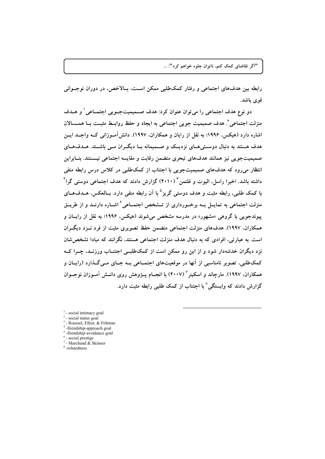رابطه بين هدفهاي اجتماعي و رفتار كمكطلبي ممكن اسـت، بــالاخص، در دوران نوجــواني قوی باشد.

دو نوع هدف اجتماعی را می توان عنوان کرد: هدف صمیمیتجـویی اجتمـاعی ٰ و هــدف منزلت اجتماعي ٌ. هدف صميميت جويبي اجتماعي به ايجاد و حفظ روابــط مثبــت بــا همــــــالان اشاره دارد (هیکس، ۱۹۹۶؛ به نقل از رایان و همکاران، ۱۹۹۷). دانش آمــوزانی کــه واجــد ایــن هدف هستند به دنبال دوستی هـای نزدیـک و صــمیمانه بــا دیگــران مــی باشــند. هــدفهــای صميميتجويي نيز همانند هدفهاي تبحري متضمن رقابت و مقايسه اجتماعي نيــستند. بنــابراين انتظار میرود که هدفهای صمیمیتجویی با اجتناب از کمکطلبی در کلاس درس رابطه منفی داشته باشد. اخیرا راسل، الیوت و فلتمن "(۲۰۱۰) گزارش دادند که هدف اجتماعی دوستی گرا " با کمک طلبی، رابطه مثبت و هدف دوستی گریز<sup>۵</sup> با آن رابطه منفی دارد. بــالعکس، هـــدفهــای منزلت اجتماعی به تمایــل بــه برخــورداری از تــشخص اجتمــاعی ٔ اشــاره دارنــد و از طریــق پیوندجویی با گروهی «مشهور» در مدرسه مشخص می شوند (هیکس، ۱۹۹۶: به نقل از رایـان و همکاران، ۱۹۹۷). هدفهای منزلت اجتماعی متضمن حفظ تصویری مثبت از فرد نــزد دیگــران است. به عبارتی، افرادی که به دنبال هدف منزلت اجتماعی هستند، نگرانند که مبادا تشخص شان نزد دیگران خدشهدار شود و از این رو ممکن است از کمکطلبــی اجتنــاب ورزنــد، چــرا کــه کمکطلبی، تصویر نامناسبی از آنها در موقعیتهای اجتمــاعی بــه جــای مــی گــذارد (رایــان و همکاران، ۱۹۹۷). مارچاند و اسکینر<sup>۷</sup> (۲۰۰۷) با انجــام پــژوهش روی دانــش آمــوزان نوجــوان گزارش دادند که وابستگی^با اجتناب از کمک طلبی رابطه مثبت دارد.

- social intimacy goal

social status goal

- Roussel, Elliot, & Feltman

<sup>4</sup>-friendship-approach goal -friendship-avoidance goal

 $6$  - social prestige

 $7$  - Marchand & Skinner

<sup>8</sup>-relatedness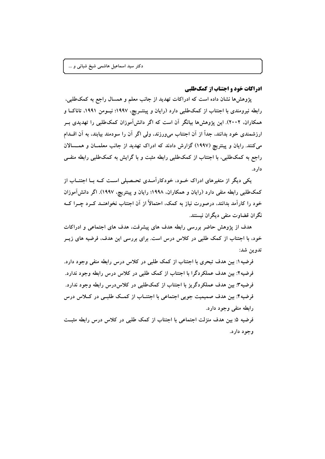**ادراکات خود و اجتناب از کمک طلبی** 

پژوهشها نشان داده است که ادراکات تهدید از جانب معلم و همسال راجع به کمکطلبی، رابطه نیرومندی با اجتناب از کمکطلبی دارد (رایان و پینتــریچ، ۱۹۹۷؛ نیــومن ۱۹۹۱، تاناکــا و همکاران، ۲۰۰۲). این پژوهش ها بیانگر آن است که اگر دانش آموزان کمکطلبی را تهدیدی ب ارزشمندی خود بدانند، جداً از آن اجتناب می,ورزند، ولی اگر آن را سودمند بیابند، به آن اقــدام میکنند. رایان و پینتریچ (۱۹۹۷) گزارش دادند که ادراک تهدید از جانب معلمــان و همـــسالان راجع به کمکطلبی، با اجتناب از کمکطلبی رابطه مثبت و با گرایش به کمکطلبی رابطه منفــی دار د.

یکی دیگر از متغیرهای ادراک خــود، خودکارآمــدی تحــصیلی اســت کــه بــا اجتنــاب از کمکطلبی رابطه منفی دارد (رایان و همکاران، ۱۹۹۸؛ رایان و پینتریچ، ۱۹۹۷). اگر دانش آموزان خود را کارآمد بدانند، درصورت نیاز به کمک، احتمالاً از آن اجتناب نخواهنــد کــرد چــرا کــه نگران قضاوت منفي ديگران نيستند.

هدف از پژوهش حاضر بررسی رابطه هدف های پیشرفت، هدف های اجتماعی و ادراکات خود، با اجتناب از کمک طلبی در کلاس درس است. برای بررسی این هدف، فرضیه های زیــر تدوين شد:

فرضیه ۱: بین هدف تبحری با اجتناب از کمک طلبی در کلاس درس رابطه منفی وجود دارد. فرضیه۲: بین هدف عملکردگرا با اجتناب از کمک طلبی در کلاس درس رابطه وجود ندارد. فرضیه۳: بین هدف عملکردگریز با اجتناب از کمکطلبی در کلاسدرس رابطه وجود ندارد. فرضیه۴: بین هدف صمیمیت جویی اجتماعی با اجتنــاب از کمــک طلبــی در کــلاس درس رابطه منفی وجود دارد.

فرضیه ۵: بین هدف منزلت اجتماعی با اجتناب از کمک طلبی در کلاس درس رابطه مثبت وجود دارد.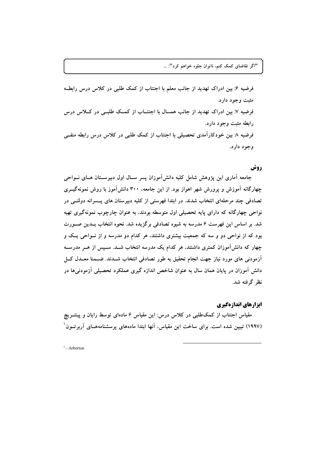فرضیه ۶: بین ادراک تهدید از جانب معلم با اجتناب از کمک طلبی در کلاس درس رابطـه مثبت وجود دارد. فرضیه ۷: بین ادراک تهدید از جانب همسال با اجتنــاب از کمــک طلبــی در کــلاس درس رابطه مثبت وجود دارد. فرضیه ۸: بین خودکارآمدی تحصیلی با اجتناب از کمک طلبی در کلاس درس رابطه منفـی وجود دارد.

# روش

جامعه آماری این پژوهش شامل کلیه دانشآموزان پسر سـال اول دبیرسـتان هـای نــواحی چهارگانه آموزش و پرورش شهر اهواز بود. از این جامعه، ۳۰۰ دانشآموز با روش نمونهگیــری تصادفی چند مرحلهای انتخاب شدند. در ابتدا فهرستی از کلیه دبیرستان های پــسرانه دولتــی در نواحي چهارگانه که داراي پايه تحصيلي اول متوسطه بودند، به عنوان چارچوب نمونهگيري تهيه شد. بر اساس این فهرست ۶ مدرسه به شیوه تصادفی برگزیده شد. نحوه انتخاب بــدین صــورت بود که از نواحی دو و سه که جمعیت بیشتری داشتند، هر کدام دو مدرسه و از نـواحی یـک و چهار که دانشآموزان کمتری داشتند، هر کدام یک مدرسه انتخاب شــد. ســپس از هــر مدرســه آزمودنی های مورد نیاز جهت انجام تحقیق به طور تصادفی انتخاب شــدند. ضــمنا معــدل کــل دانش آموزان در پایان همان سال به عنوان شاخص اندازه گیری عملکرد تحصیلی آزمودنیها در نظر گرفته شد.

## ابزارهای اندازهگیری

مقیاس اجتناب از کمکطلبی در کلاس درس: این مقیاس ۶ مادهای توسط رایان و پینتــریچ (۱۹۹۷) تبیین شده است. برای ساخت این مقیاس، آنها ابتدا مادههای پرسشنامههــای آربر تــون ٔ

 $<sup>1</sup>$  - Arberton</sup>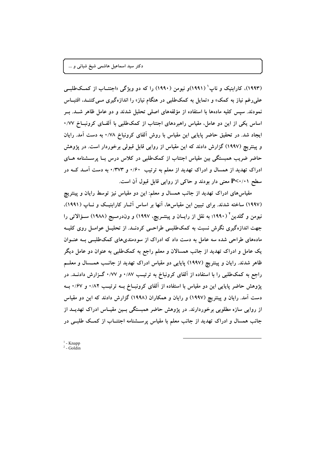(۱۹۹۳)، کارابنیک و ناپ (۱۹۹۱)و نیومن (۱۹۹۰) را که دو ویژگی «اجتنــاب از کمــکطلبــی علمی رغم نیاز به کمک» و «تمایل به کمکطلبی در هنگام نیاز» را اندازهگیری مــی کننــد، اقتبــاس نمودند. سپس کلیه مادهها با استفاده از مؤلفههای اصلی تحلیل شدند و دو عامل ظاهر شــد. بــر اساس یکی از این دو عامل، مقیاس راهبردهای اجتناب از کمکطلبی با آلفـای کرونبــاخ ۰/۷۷ ایجاد شد. در تحقیق حاضر پایایی این مقیاس با روش آلفای کرونباخ ۰/۷۸ به دست آمد. رایان و پینتریچ (۱۹۹۷) گزارش دادند که این مقیاس از روایی قابل قبولی برخوردار است. در پژوهش حاضر ضریب همبستگی بین مقیاس اجتناب از کمکطلبی در کلاس درس بــا پرســشنامه هــای ادراک تهدید از همسال و ادراک تهدید از معلم به ترتیب ۰/۶۰ و ۰/۳۷۳ به دست آمـد کــه در سطح P<۰/۰۱ معنی دار بودند و حاکی از روایی قابل قبول آن است.

مقیاسهای ادراک تهدید از جانب همسال و معلم: این دو مقیاس نیز توسط رایان و پینتریچ (۱۹۹۷) ساخته شدند. برای تبیین این مقیاسها، آنها بر اساس آثــار کارابنیــک و نــاپ (۱۹۹۱)، نیومن و گلدین ٔ (۱۹۹۰؛ به نقل از رایــان و پینتــریچ، ۱۹۹۷) و ون‹درمــیج (۱۹۸۸) ســؤالاتی را جهت اندازهگیری نگرش نسبت به کمکطلبسی طراحسی کردنــد. از تحلیــل عوامــل روی کلیــه مادههای طراحی شده سه عامل به دست داد که ادراک از سودمندیهای کمکطلبـی بــه عنــوان یک عامل و ادراک تهدید از جانب همسالان و معلم راجع به کمکطلبی به عنوان دو عامل دیگر ظاهر شدند. رایان و پینتریچ (۱۹۹۷) پایایی دو مقیاس ادراک تهدید از جانــب همـــسال و معلــم راجع به کمکطلبی را با استفاده از آلفای کرونباخ به ترتیب ۰/۸۷ و ۰/۷۷ گـزارش دادنــد. در پژوهش حاضر پایایی این دو مقیاس با استفاده از آلفای کرونبــاخ بــه ترتیــب ۰/۸۲ و ۰/۶۷ بــه دست آمد. رایان و پینتریچ (۱۹۹۷) و رایان و همکاران (۱۹۹۸) گزارش دادند که این دو مقیاس از روایی سازه مطلوبی برخوردارند. در پژوهش حاضر همبستگی بـین مقیـاس ادراک تهدیــد از جانب همسال و ادراک تهدید از جانب معلم با مقیاس پرســشنامه اجتنــاب از کمــک طلبــی در

 $<sup>1</sup>$  - Knapp</sup>  $2 -$ Goldin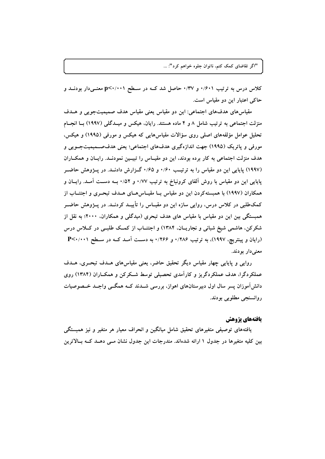کلاس درس به ترتیب ۰/۶۰۱ و ۰/۳۷ حاصل شد کــه در ســطح p<۰/۰۰۱ معنــیدار بودنــد و حاکم اعتبار این دو مقیاس است.

مقیاس های هدفهای اجتماعی: این دو مقیاس یعنی مقیاس هدف صمیمیتجویی و هــدف منزلت اجتماعی به ترتیب شامل ۸ و ۴ ماده هستند. رایان، هیکس و میــدگلی (۱۹۹۷) بــا انجــام تحلیل عوامل مؤلفههای اصلی روی سؤالات مقیاسهایی که هیکس و مورفی (۱۹۹۵) و هیکس. مورفي و پاتريک (١٩٩٥) جهت اندازهگيري هدفهاي اجتماعي؛ يعني هدفصــميميتجــويي و هدف منزلت اجتماعی به کار برده بودند، این دو مقیـاس را تبیــین نمودنــد. رایــان و همکــاران (۱۹۹۷) پایایی این دو مقیاس را به ترتیب ۰/۶۰ و ۰/۶۵ گیزارش دادنــد. در پیژوهش حاضــر پایایی این دو مقیاس با روش اَلفای کرونباخ به ترتیب ۰/۷۷ و ۰/۵۲ بــه دســت آمــد. رایــان و همکاران (۱۹۹۷) با همبستهکردن این دو مقیاس بــا مقیــاس۵هــای هــدف تبحــری و اجتنــاب از کمکطلبی در کلاس درس، روایی سازه این دو مقیــاس را تأییــد کردنــد. در پــژوهش حاضــر همبستگی بین این دو مقیاس با مقیاس های هدف تبحری (میدگلی و همکاران، ۲۰۰۰؛ به نقل از شکرکن، هاشمی شیخ شبانی و نجاریــان، ۱۳۸۴) و اجتنــاب از کمــک طلبــی در کــلاس درس (رایان و پینتریچ، ۱۹۹۷)، به ترتیب ۱/۲۸۶ و ۱/۲۶۶ به دست آمـد کــه در سـطح ۲۰٬۰۰۱ ـ معنىدار بودند.

روایی و پایایی چهار مقیاس دیگر تحقیق حاضر، یعنی مقیاسهای هــدف تبحــری، هــدف عملکردگرا، هدف عملکردگریز و کارآمدی تحصیلی توسط شـکرکن و همکـاران (۱۳۸۴) روی دانشآموزان پسر سال اول دبیرستانهای اهواز، بررسی شــدند کــه همگــی واجــد خــصوصیات روانسنجي مطلوبي بودند.

# يافتههاي يژوهش

یافتههای توصیفی متغیرهای تحقیق شامل میانگین و انحراف معیار هر متغیر و نیز همبستگی بین کلیه متغیرها در جدول ۱ ارائه شدهاند. مندرجات این جدول نشان مــی دهــد کــه بــالاترین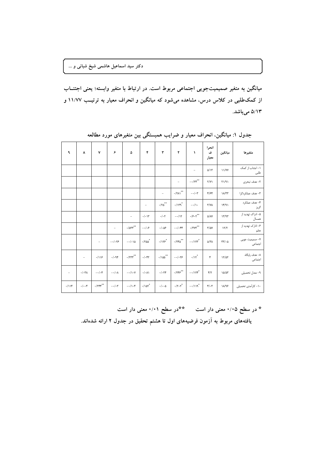میانگین به متغیر صمیمیتجویی اجتماعی مربوط است. در ارتباط با متغیر وابسته؛ یعنی اجتنــاب از کمکطلبی در کلاس درس، مشاهده میشود که میانگین و انحراف معیار به ترتیب ۱۱/۷۷ و ۵/۱۳ میباشد.

| متغيرها                    | ميانگين                           | انحرا<br>ف<br>معيار      | $\lambda$                                                                                        | $\pmb{\Upsilon}$                                                                             | $\pmb{\mathtt{v}}$        | ۴                           | ۵                                       | ۶                         | ٧                          | ۸                        | ٩        |
|----------------------------|-----------------------------------|--------------------------|--------------------------------------------------------------------------------------------------|----------------------------------------------------------------------------------------------|---------------------------|-----------------------------|-----------------------------------------|---------------------------|----------------------------|--------------------------|----------|
| ۱– اجتناب از کمک<br>طلبى   | 11/YY                             | $\Delta/\Upsilon$        | $\overline{\phantom{a}}$                                                                         |                                                                                              |                           |                             |                                         |                           |                            |                          |          |
| ٢- هدف تبحري               | $\Gamma\backslash\left( 9\right)$ | Y/Y                      | $-$ - /۲۴ $\hspace{-1.5mm}^{\ast\ast}$                                                           | $\overline{\phantom{0}}$                                                                     |                           |                             |                                         |                           |                            |                          |          |
| ٣– هدف عملکردگرا           | $\lambda/\tau\tau$                | 4/54                     | $-\cdot/\cdot \tau$                                                                              | $\cdot$ /۲۸۱ $^{**}$                                                                         | $\overline{\phantom{a}}$  |                             |                                         |                           |                            |                          |          |
| ۴– هدف عملکر د<br>گريز     | 14/91                             | Y/Y                      | $-\cdot/\lambda$ .                                                                               | $\cdot/\gamma\gamma^*$                                                                       | $\cdot$ /۲۵ $^{**}$       | $\qquad \qquad -$           |                                         |                           |                            |                          |          |
| ۵– ادراک تهدید از<br>همسال | 17/97                             | $\Delta/\lambda$ Y       | $\boldsymbol{\cdot} \mathbf{1} \boldsymbol{\varphi} \boldsymbol{\cdot} \boldsymbol{\gamma}^{**}$ | $-$ /1٢                                                                                      | $\cdot/\cdot\mathsf{r}$   | $\cdot/\cdot\wedge\tau$     | $\overline{\phantom{a}}$                |                           |                            |                          |          |
| ۶– ادار ک تهدید از<br>معلم | 17/7                              | $\frac{1}{2}$            | $\cdot$ /٣٧٣ $^{\ast\ast}$                                                                       | $-1.54$                                                                                      | $. / . \Delta$ ۶          | $-\cdot/\cdot$ ۶            | $\boldsymbol{\cdot}$ /۵۳۳ $^{\ast\ast}$ | $\qquad \qquad -$         |                            |                          |          |
| ۷- صمیمیت جویی<br>اجتماعى  | $\tau\tau/\cdot\Delta$            | $\Delta/\Upsilon\Lambda$ | $- \cdot / \gamma \gamma^*$                                                                      | $\cdot$ /۲۴۵ $^{**}$                                                                         | $\cdot/\gamma$ ۶*         | $\cdot$ /٢۵۵ $^*$           | $-\cdot/\cdot\setminus\Delta$           | $-1.15$                   | $\qquad \qquad -$          |                          |          |
| ۸– هدف یایگاه<br>اجتماعى   | $17/\Delta 7$                     | ۴                        | $\boldsymbol{\cdot}/\gamma^*$                                                                    | $-1.59$                                                                                      | $\cdot/\mathsf{Mod}^{**}$ | .1.57                       | $\boldsymbol{\cdot}$ /۲۲۳ $^{\ast\ast}$ | .1.98                     | .119                       | $\overline{\phantom{a}}$ |          |
| ۹– معدل تحصیلی             | 10/27                             | $\mathbf{r}/\mathbf{r}$  | $-1155$                                                                                          | $\cdot$ /۲۴۶ $^{\ast\ast}$                                                                   | .7.77                     | $\cdot/\cdot \wedge \wedge$ | $-\cdot/\right. \cdot \mathsf{V}$       | $-\cdot/\cdot \wedge$     | $-\cdot/\cdot$ ۴           | $. / .7\lambda$          | $\equiv$ |
| ۱۰– کارآمدی تحصیلی         | $\lambda/\sqrt{2}$                | $\mathbf{r}/\mathbf{r}$  | $-119$                                                                                           | $\boldsymbol{\cdot} \mathbf{1} \boldsymbol{\gamma} \boldsymbol{\cdot} \boldsymbol{\gamma}^*$ | $\cdot/\cdot\cdot\Delta$  | - $100^*$                   | $-\cdot/\right. \cdot \ast$             | $-\cdot/\cdot \mathbf{v}$ | $\cdot$ /۲۴۴ $^{\ast\ast}$ | $\cdot/\cdot\cdot$       | .711     |

جدول ۱: میانگین، انحراف معیار و ضرایب همبستگی بین متغیرهای مورد مطالعه

\* در سطح ۰/۰۵ معنی دار است مسلمهٔ ۰/۰۱ معنی دار است یافتههای مربوط به آزمون فرضیههای اول تا هشتم تحقیق در جدول ۲ ارائه شدهاند.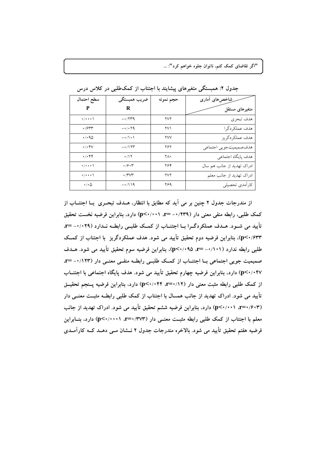| سطح احتمال                                                       | ضريب همبستگي                   | حجم نمونه | شاخصهای أماری              |
|------------------------------------------------------------------|--------------------------------|-----------|----------------------------|
| P                                                                | R                              |           | متغیرهای مستقل             |
| $\cdot/\cdot\cdot\cdot$                                          | $-1779$                        | ۲V٢       | هدف تبحري                  |
| $\cdot$ /۶۳۳                                                     | $- \cdot / \cdot \tau$ q       | ۲۷۱       | هدف عملكردگرا              |
| $\cdot$ / $\cdot$ 90                                             | $-\star/\uparrow\star\uparrow$ | YVV       | هدف عملكردگريز             |
| $\cdot/\cdot$ $4\vee$                                            | $-1$                           | ۲۶۲       | هدف صميميتجويي اجتماعي     |
| $\cdot/\cdot$ ۴۴                                                 | $\cdot$ /١٢                    | ٢Λ٠       | هدف پایگاه اجتماعی         |
| $\cdot/\cdot\cdot\cdot$                                          | ۰/۶۰۳                          | ۲۶۴       | ادراک تهدید از جانب هم سال |
| $\cdot/\cdot\cdot\cdot$                                          | ۰/۳۷۳                          | ۲V٢       | ادراک تهدید از جانب معلم   |
| $\boldsymbol{\cdot}/\boldsymbol{\cdot} \, \boldsymbol{\Diamond}$ | $-1/119$                       | ۲۶۹       | كاراًمدي تحصيلي            |

جدول ۲: همبستگی متغیرهای پیشایند با اجتناب از کمکطلبی در کلاس درس

از مندرجات جدول ۲ چنین بر می آید که مطابق با انتظار، هـدف تبحـری بــا اجتنــاب از کمک طلبی، رابطه منفی معنی دار (۰/۲۳۹– r=). (۰/۰۰۱) دارد، بنابراین فرضیه نخست تحقیق تأييد مي شـود. هـدف عملكردگـرا بــا اجتنــاب از كمــك طلبــي رابطــه نــدارد (٢٩ ــ١٠- =٣) p<۰/۶۳۳)، بنابراین فرضیه دوم تحقیق تأیید می شود. هدف عملکردگریز با اجتناب از کمک طلبی رابطه ندارد (۰/۱۰۱– =r) p<۰/۰۹۵)، بنابراین فرضیه سوم تحقیق تأیید می شود. هـدف صمیمیت جویی اجتماعی بـا اجتنـاب از کمـک طلبـی رابطـه منفـی معنـی دار (١٢٣/٠- =r p<۰/۰۴۷) دارد، بنابراین فرضیه چهارم تحقیق تأیید می شود. هدف پایگاه اجتماعی با اجتنــاب از کمک طلبی رابطه مثبت معنی دار (۱۲/۰۴۴ :۳=۰/۱۴) دارد، بنابراین فرضیه پسنجم تحقیــق تأیید می شود. ادراک تهدید از جانب همسال با اجتناب از کمک طلبی رابطــه مثبــت معنــی دار (p<۰/۰۰۱ ،r=۰/۶۰۳) دارد، بنابراین فرضیه ششم تحقیق تأیید می شود. ادراک تهدید از جانب معلم با اجتناب از کمک طلبی رابطه مثبت معنــی دار (۳۷۳/۰=۰۲، p<۰/۰۰۰۱) دارد، بنــابراین فرضیه هفتم تحقیق تأیید می شود. بالاخره مندرجات جدول ۲ نــشان مــی دهــد کــه کارآمــدی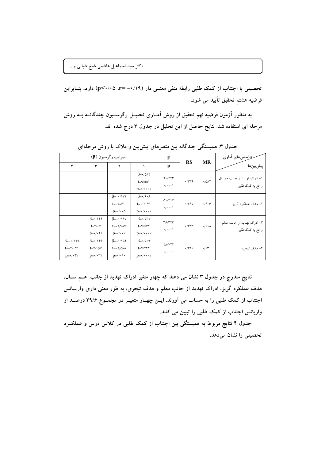دکتر سید اسماعیل هاشمی شیخ شبانی و …

تحصیلی با اجتناب از کمک طلبی رابطه منفی معنــی دار (۰/۱۹/+==r) (p<۰/۰۵) دارد، بنــابراین فرضيه هشتم تحقيق تأييد مي شود.

به منظور آزمون فرضیه نهم تحقیق از روش آمـاری تحلیــل رگرســیون چندگانــه بــه روش مرحله ای استفاده شد. نتایج حاصل از این تحلیل در جدول ۳ درج شده اند.

|                                                                               | ضرایب رگرسیون (β)                                                                        |                                                                                     | F                                                                                            |                                                                                    |                       | فخلخصهای أماری          |                                                 |           |            |
|-------------------------------------------------------------------------------|------------------------------------------------------------------------------------------|-------------------------------------------------------------------------------------|----------------------------------------------------------------------------------------------|------------------------------------------------------------------------------------|-----------------------|-------------------------|-------------------------------------------------|-----------|------------|
| ۴                                                                             | ٣                                                                                        | ۲                                                                                   |                                                                                              | P                                                                                  | <b>RS</b>             |                         |                                                 | <b>MR</b> | پیش بین ها |
|                                                                               |                                                                                          |                                                                                     | $\beta = \cdot / \Delta \wedge \tau$<br>$t = 9/001$<br>$p=\cdot/\cdot\cdot\cdot$             | 91/777<br>$\cdot/\cdot\cdot\cdot$                                                  | $\cdot$ $\pi$         | $\cdot$ /0/17           | ۱– ادراک تهدید از جانب همسال<br>راجع به کمکطلبی |           |            |
|                                                                               |                                                                                          | $\beta = -\cdot/\sqrt{v}$<br>$t = -Y/\Lambda^T$<br>$p = \cdot / \cdot \cdot \Delta$ | $\beta = \cdot$ / $\hat{z}$<br>$t = \frac{1}{\sqrt{1 + 1}}$<br>$p=\cdot/\cdot\cdot\cdot$     | 01/f1V<br>$\cdot$ / $\cdot$ $\cdot$ \                                              | $\cdot$ /۳۶ $V$       | .79.9                   | ۲– هدف عملکر د گريز                             |           |            |
|                                                                               | $\beta = \cdot / \sqrt{55}$<br>$t = \gamma \cdot \gamma$<br>$p = \cdot / \cdot \uparrow$ | $\beta = -\cdot / \sqrt{5}V$<br>$t = -Y/VAV$<br>$p = \cdot / \cdot \cdot$           | $\beta = \cdot / \delta r$<br>$t = V/\Delta V$<br>$p = \cdot / \cdot \cdot \cdot$            | $\mathsf{r}\mathfrak{s}/\mathsf{r}\mathsf{r}\mathsf{r}$<br>$\cdot/\cdot\cdot\cdot$ | $\cdot$ /۳ $\wedge$ ۳ | $\cdot$ / $\frac{9}{1}$ | ۳- ادراک تهدید از جانب معلم<br>راجع به کمکطلبی  |           |            |
| $\beta = -1$<br>$t = -\gamma / \cdot \gamma$<br>$p = \cdot / \cdot \forall v$ | $\beta = \cdot / \sqrt{4}$<br>$t = \frac{1}{2}$<br>$p = \cdot / \cdot \tau \tau$         | $\beta = -10$<br>$t = -\frac{1}{2}$<br>$p=\cdot/\cdot\cdot$                         | $\beta = \cdot / \Delta \cdot \mathcal{A}$<br>$t = V/YYY$<br>$p = \cdot / \cdot \cdot \cdot$ | <b>YA/VYF</b><br>$\cdot/\cdot\cdot\cdot$                                           | .799                  | $\cdot$ /۶۳ $\cdot$     | ۴- هدف تبحري                                    |           |            |

جدول ۳: همبستگی چندگانه بین متغیرهای پیش بین و ملاک با روش مرحلهای

نتایج مندرج در جدول ۳ نشان می دهند که چهار متغیر ادراک تهدید از جانب هــم ســال، هدف عملکرد گریز، ادراک تهدید از جانب معلم و هدف تبحری، به طور معنی داری واریــانس اجتناب از کمک طلبی را به حساب می آورند. ایــن چهــار متغیــر در مجمــوع ۳۹/۶ درصــد از واریانس اجتناب از کمک طلبی را تبیین می کنند.

جدول ۴ نتایج مربوط به همبستگی بین اجتناب از کمک طلبی در کلاس درس و عملکـرد تحصیلی را نشان میدهد.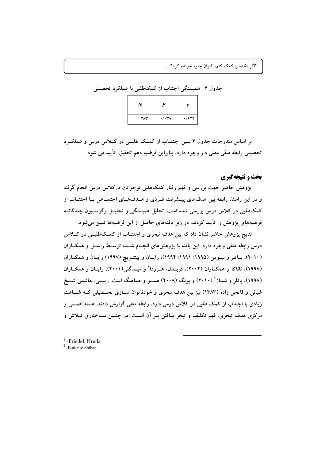| جدول ۴: همبستگی اجتناب از کمکطلبی با عملکرد تحصیلی |             |                                                     |  |
|----------------------------------------------------|-------------|-----------------------------------------------------|--|
|                                                    |             |                                                     |  |
|                                                    | $Y\wedge Y$ | $\cdot$ / $\cdot \cdot \cdot$ - $\cdot$ /17 $\cdot$ |  |

بر اساس مندرجات جدول ۴ بسین اجتنساب از کمک طلبے در کیلاس درس و عملک رد تحصیلی رابطه منفی معنی دار وجود دارد، بنابراین فرضیه دهم تحقیق تأیید می شود.

# بحث و نتیجهگیری

پژوهش حاضر جهت بررسی و فهم رفتار کمکطلبی نوجوانان درکلاس درس انجام گرفته و در این راستا، رابطه بین هدفهای پیـشرفت فـردی و هـدفهـای اجتمـاعی بـا اجتنــاب از کمکطلبی در کلاس درس بررسی شده است. تحلیل همبستگی و تحلیــل رگرســیون چندگانــه فرضیههای پژوهش را تأیید کردند. در زیر یافتههای حاصل از این فرضیهها تبیین می شود.

نتایج پژوهش حاضر نشان داد که بین هدف تبحری و اجتنــاب از کمــکاطلبــی در کـــلاس درس رابطه منفی وجود دارد. این یافته با پژوهشهای انجـام شــده توسـط راسـل و همکــاران (۲۰۱۰)، بساتلر و نیسومن (۱۹۹۵؛ ۱۹۹۱؛ ۱۹۹۴)، رایسان و پینتسریچ (۱۹۹۷) رایسان و همکساران (١٩٩٧)، تاناکا و همکــاران (٢٠٠٢)، فريــدل، هــرودا و ميــدگلي(٢٠٠١)، رايــان و همکــاران (۱۹۹۸)، باتلر و شیباز<sup>۲</sup> (۲۰۱۰) و بونگ (۲۰۰۸) همسو و هماهنگ است. رییسی، هاشمی شـیخ شبانی و فاتحی زاده (۱۳۸۳) نیز بین هدف تبحری و خودناتوان ســازی تحــصیلی کــه شــباهت زیادی با اجتناب از کمک طلبی در کلاس درس دارد، رابطه منفی گزارش دادند. هسته اصــلی و مرکزی هدف تبحری، فهم تکلیف و تبحر یــافتن بــر اَن اســت. در چنــین ســاختاری تــلاش و

<sup>1</sup>-Friedel Hruda  $2$ -Butler & Shibaz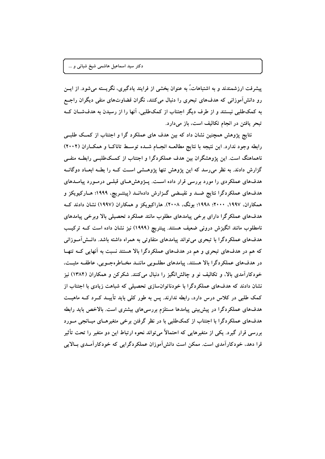پیشرفت ارزشمندند و به اشتباهات،ُ به عنوان بخشی از فرایند یادگیری، نگریسته میشود. از ایــن رو دانش آموزانی که هدفهای تبحری را دنبال میکنند. نگران قضاوتهای منفی دیگران راجع به کمکطلبی نیستند و از طرف دیگر اجتناب از کمکطلبی، آنها را از رسیدن به هدفشان ک تبحر یافتن در انجام تکالیف است، باز میدارد.

نتایج پژوهش همچنین نشان داد که بین هدف های عملکرد گرا و اجتناب از کمک طلبے رابطه وجود ندارد. این نتیجه با نتایج مطالعــه انجــام شــده توســط تاناکــا و همکــاران (۲۰۰۲) ناهماهنگ است. این پژوهشگران بین هدف عملکردگرا و اجتناب از کمکطلببی رابطــه منفــی گزارش دادند. به نظر می رسد که این پژوهش تنها پژوهـشی اسـت کــه را بطــه ابعــاد دوگانــه هدفهای عملکردی را مورد بررسی قرار داده است. پــژوهشهـای قبلــی درمــورد پیامــدهای هدفهای عملکردگرا نتایج ضـد و نقیـضی گـزارش دادهانــد (پینتــریچ، ۱۹۹۹؛ هــارکیویکز و همکاران، ۱۹۹۷، ۲۰۰۰؛ ۱۹۹۸؛ بونگ، ۲۰۰۸). هاراکیویکز و همکاران (۱۹۹۷) نشان دادند ک هدفهای عملکر گرا دارای برخی پیامدهای مطلوب مانند عملکرد تحصیلی بالا وبرخی پیامدهای نامطلوب مانند انگیزش درونی ضعیف هستند. پینتریچ (۱۹۹۹) نیز نشان داده است کــه ترکیــب هدفهای عملکردگرا با تبحری می تواند پیامدهای متفاوتی به همراه داشته باشد. دانــش[مــوزانی که هم در هدفهای تبحری و هم در هدفهای عملکردگرا بالا هستند نسبت به آنهایی کـه تنهـا در هدفهای عملکردگرا بالا هستند، پیامدهای مطلوبی ماننـد مخـاطرهجـویی، عاطفـه مثبـت، خودکارآمدی بالا، و تکالیف نو و چالشانگیز را دنبال میکنند. شکرکن و همکاران (۱۳۸۴) نیز نشان دادند که هدفهای عملکردگرا با خودناتوانسازی تحصیلی که شباهت زیادی با اجتناب از کمک طلبی در کلاس درس دارد، رابطه ندارند. پس به طور کلبی باید تأییــد کــرد کــه ماهیــت هدفهای عملکردگرا در پیش بینی پیامدها مستلزم بررسیهای بیشتری است. بالاخص باید رابطه هدفهای عملکردگرا با اجتناب از کمکطلبی با در نظر گرفتن برخی متغیرهـای میــانجی مــورد بررسی قرار گیرد. یکی از متغیرهایی که احتمالاً میتواند نحوه ارتباط این دو متغیر را تحت تأثیر قرا دهد، خودکارآمدی است. ممکن است دانش آموزان عملکردگرایی که خودکارآمـدی بــالایی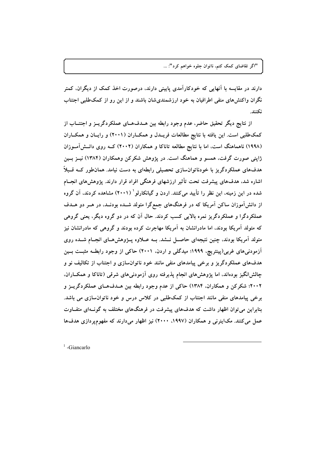دارند در مقایسه با آنهایی که خودکارآمدی پایینی دارند، درصورت اخذ کمک از دیگران، کمتر نگران واکنشهای منفی اطرافیان به خود ارزشمندیشان باشند و از این رو از کمکطلبی اجتناب نكنند

از نتایج دیگر تحقیق حاضر، عدم وجود رابطه بین هــدفهــای عملکردگریــز و اجتنــاب از کمکطلبی است. این یافته با نتایج مطالعات فریـدل و همکــاران (۲۰۰۱) و رایــان و همکــاران (۱۹۹۸) ناهماهنگ است، اما با نتایج مطالعه تاناکا و همکاران (۲۰۰۲) کــه روی دانــش آمــوزان ژاپنی صورت گرفت، همسو و هماهنگ است. در پژوهش شکرکن وهمکاران (۱۳۸۴) نیــز بــین هدفهای عملکردگریز با خودناتوانسازی تحصیلی رابطهای به دست نیامد. همان $\det$  کــه قــبلاً اشاره شد، هدفهای پیشرفت تحت تأثیر ارزشهای فرهنگی افراد قرار دارند. پژوهشهای انجــام شده در این زمینه، این نظر را تأیید میکنند. اردن و گیانکارلو (۲۰۰۱) مشاهده کردند، آن گروه از دانشآموزان ساکن آمریکا که در فرهنگهای جمعگرا متولد شــده بودنــد، در هــر دو هــدف عملکردگرا و عملکردگریز نمره بالایی کسب کردند. حال آن که در دو گروه دیگر، یعنی گروهی که متولد آمریکا بودند، اما مادرانشان به آمریکا مهاجرت کرده بودند و گروهی که مادرانشان نیز متولد آمریکا بودند، چنین نتیجهای حاصـل نــشد. بــه عــلاوه پــژوهشهــای انجــام شــده روی آزمودنیهای غربی(پینتریچ، ۱۹۹۹؛ میدگلی و اردن، ۲۰۰۱) حاکمی از وجود رابطـه مثبـت بــین هدفهای عملکردگریز و برخی پیامدهای منفی مانند خود ناتوانسازی و اجتناب از تکالیف نو و چالشانگیز بودهاند، اما پژوهشهای انجام پذیرفته روی آزمودنیهای شرقی (تاناکا و همکــاران. ۲۰۰۲؛ شکرکن و همکاران، ۱۳۸۴) حاکی از عدم وجود رابطه بین هـدفهـای عملکردگریــز و برخي پيامدهاي منفي مانند اجتناب از كمك طلبي در كلاس درس و خود ناتوان سازي مي باشد. بنابراین میتوان اظهار داشت که هدفهای پیشرفت در فرهنگهای مختلف به گونـهای متفـاوت عمل می کنند. مکاینرنی و همکاران (۱۹۹۷، ۲۰۰۰) نیز اظهار می دارند که مفهوم یو دازی هدفها

 $1$ -Giancarlo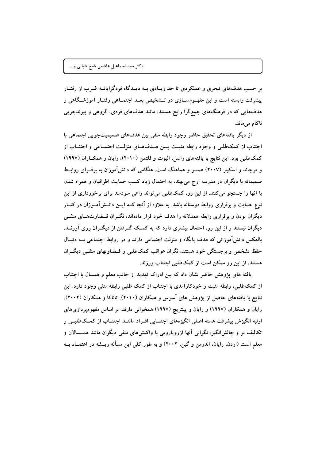بر حسب هدفهای تبحری و عملکردی تا حد زیـادی بــه دیــدگاه فردگرایانــه غــرب از رفتــار پیشرفت وابسته است و این مفهــومســازی در تـــشخیص بعــد اجتمــاعی رفتــار آموزشــگاهی و هدفهایی که در فرهنگهای جمعگرا رایج هستند، مانند هدفهای فردی، گروهی و پیوندجویی ناكام مىماند.

از دیگر یافتههای تحقیق حاضر وجود رابطه منفی بین هدفهای صمیمیتجویی اجتماعی با اجتناب از کمکطلبی و وجود رابطه مثبت بسین هـدفهـای منزلـت اجتمـاعی و اجتنــاب از کمکطلبی بود. این نتایج با یافتههای راسل، الیوت و فلتمن (۲۰۱۰)، رایان و همکــاران (۱۹۹۷) و مرچاند و اسکینر (۲۰۰۷) همسو و هماهنگ است. هنگامی که دانش آموزان به برقـرای روابـط صمیمانه با دیگران در مدرسه ارج می نهند، به احتمال زیاد کسب حمایت اطرافیان و همراه شدن با أنها را جستجو می کنند. از این رو، کمکطلبی می تواند راهی سودمند برای برخورداری از این نوع حمایت و برقراری روابط دوستانه باشد. به علاوه از آنجا کــه ایــن دانــش[مــوزان در کنــار دیگران بودن و برقراری رابطه همدلانه را هدف خود قرار دادهاند، نگـران قــضاوتهــای منفــی دیگران نیستند و از این رو، احتمال بیشتری دارد که به کمــک گــرفتن از دیگــران روی آورنــد. بالعکس دانش آموزانی که هدف پایگاه و منزلت اجتماعی دارند و در روابط اجتماعی بــه دنبــال حفظ تشخص و برجستگی خود هستند، نگران عواقب کمکطلبی و قــضاوتهای منفــی دیگــران هستند، از این رو ممکن است از کمکطلبی اجتناب ورزند.

یافته های پژوهش حاضر نشان داد که بین ادراک تهدید از جانب معلم و همسال با اجتناب از کمکطلبی، رابطه مثبت و خودکارآمدی با اجتناب از کمک طلبی رابطه منفی وجود دارد. این نتایج با یافتههای حاصل از یژوهش های آسوس و همکاران (۲۰۱۰)، تاناکا و همکاران (۲۰۰۲)، رایان و همکاران (۱۹۹۷) و رایان و پینتریچ (۱۹۹۷) همخوانی دارند. بر اساس مفهومپردازیهای اولیه انگیزش پیشرفت هسته اصلی انگیزههای اجتنــابی افـراد ماننــد اجتنــاب از کمــکطلبــی و تکالیف نو و چالشlنگیز، نگرانی آنها ازرویارویی با واکنشهای منفی دیگران مانند همــسالان و معلم است (اردن، رایان، اندرمن و گین، ۲۰۰۲) و به طور کلی این مسأله ریــشه در اعتمــاد بــه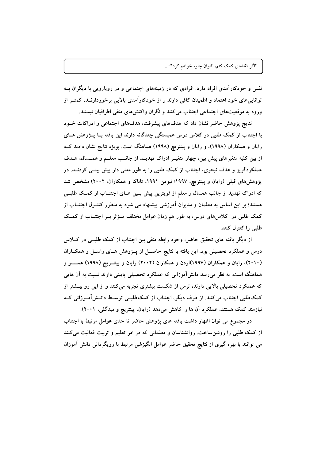نفس و خودکارآمدی افراد دارد. افرادی که در زمینههای اجتماعی و در رویارویی با دیگران بــه تواناییهای خود اعتماد و اطمینان کافی دارند و از خودکارآمدی بالایی برخوردارنــد، کمتــر از ورود به موقعیتهای اجتماعی اجتناب میکنند و نگران واکنشهای منفی اطرافیان نیستند.

نتایج پژوهش حاضر نشان داد که هدفهای پیشرفت، هدفهای اجتماعی و ادراکات خــود با اجتناب از کمک طلبی در کلاس درس همبستگی چندگانه دارند این یافته بــا پـــژوهش هــای رایان و همکاران (۱۹۹۸)، و رایان و پینتریچ (۱۹۹۸) هماهنگ است. بویژه نتایج نشان دادند ک از بین کلیه متغیرهای پیش بین، چهار متغیــر ادراک تهدیــد از جانــب معلــم و همــسال، هــدف عملکردگریز و هدف تبحری، اجتناب از کمک طلبی را به طور معنی دار پیش بینــی کردنــد. در پژوهش،های قبلی (رایان و پینتریچ، ۱۹۹۷؛ نیومن ۱۹۹۱، تاناکا و همکاران، ۲۰۰۲) مشخص شد که ادراک تهدید از جانب همسال و معلم از قویترین پیش بـین هـای اجتنــاب از کمــک طلبــی هستند؛ بر این اساس به معلمان و مدیران آموزشی پیشنهاد می شود به منظور کنتــرل اجتنــاب از کمک طلبی در کلاسهای درس، به طور هم زمان عوامل مختلف مــؤثر بــر اجتنــاب از کمــک طلبي را كنترل كنند.

از دیگر یافته های تحقیق حاضر، وجود رابطه منفی بین اجتناب از کمک طلبــی در کـــلاس درس و عملکرد تحصیلی بود. این یافته با نتایج حاصـل از پــژوهش هــای راســل و همکــاران (۲۰۱۰)، رایان و همکاران (۱۹۹۷)اردن و همکاران (۲۰۰۲) رایان و پینتــریچ (۱۹۹۸) همــسو و هماهنگ است. به نظر میرسد دانشآموزانی که عملکرد تحصیلی پایینی دارند نسبت به آن هایی که عملکرد تحصیلی بالایی دارند، ترس از شکست بیشتری تجربه میکنند و از این رو بیــشتر از کمکطلبی اجتناب میکنند. از طرف دیگر، اجتناب از کمکطلبے توسط دانــش[مــوزانی کــه نیازمند کمک هستند، عملکرد آن ها را کاهش میدهد (رایان، پینتریچ و میدگلی، ۲۰۰۱).

در مجموع می توان اظهار داشت یافته های پژوهش حاضر تا حدی عوامل مرتبط با اجتناب از کمک طلبی را روشن ساخت. روانشناسان و معلمانی که در امر تعلیم و تربیت فعالیت میکنند می توانند با بهره گیری از نتایج تحقیق حاضر عوامل انگیزشی مرتبط با رویگردانی دانش آموزان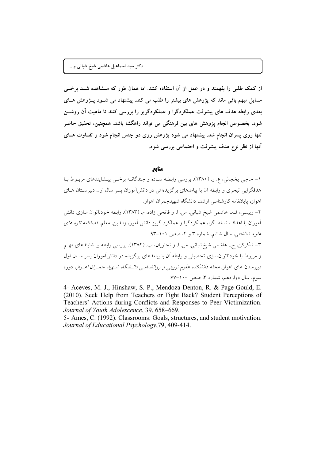از کمک طلبی را بفهمند و در عمل از آن استفاده کنند. اما همان طور که مــشاهده شــد برخــی مسایل مبهم باقی ماند که پژوهش های بیشتر را طلب می کند. پیشنهاد می شــود پــژوهش هــای بعدی رابطه هدف های پیشرفت عملکردگرا و عملکردگریز را بررسی کنند تا ماهیت آن روشــن شود، بخصوص انجام پژوهش های بین فرهنگی می تواند راهگشا باشد. همچنین، تحقیق حاضر تنها روی پسران انجام شد. پیشنهاد می شود پژوهش روی دو جنس انجام شود و تفــاوت هــای آنها از نظر نوع هدف پیشرفت و اجتماعی بررسی شود.

#### منابع

۱– حاجي يخچالي، ع. ر. (۱۳۸۰). بررسي رابطـه سـاده و چندگانـه برخـي پيـشايندهاي مربـوط بـا هدفگرایی تبحری و رابطه آن با پیامدهای برگزیدهاش در دانش آموزان پسر سال اول دبیرسـتان هــای اهواز، پایاننامه کارشناسی ارشد، دانشگاه شهیدچمران اهواز. ۲– رییسی، ف.، هاشمی شیخ شبانی، س. ا. و فاتحی زاده، م. (۱۳۸۳). رابطه خودناتوان سازی دانش آموزان با اهداف تسلط گرا، عملکردگرا و عملکرد گریز دانش آموز، والدین، معلم*. فصلنامه تازه های* ع*لوم شناختی، سال ششم*، شماره ۳ و ۴، صص ۱۰۱–۹۳. ۳- شکرکن، ح.، هاشمی شیخشبانی، س. ا. و نجاریان، ب. (۱۳۸۴). بررسی رابطه پیـشایندهای مهـم و مربوط با خودناتوانسازی تحصیلی و رابطه آن با پیامدهای برگزیده در دانشآموزان پسر سـال اول دبیر ستان های اهواز. *مجله دانشکده علوم تربیتی و روانشناسی دانـشگاه شــهید چمـران اهـواز*، دوره سوم، سال دوازدهم، شماره ۳، صص ۱۰۰-۷۷.

4- Aceves, M. J., Hinshaw, S. P., Mendoza-Denton, R. & Page-Gould, E. (2010). Seek Help from Teachers or Fight Back? Student Perceptions of Teachers' Actions during Conflicts and Responses to Peer Victimization. Journal of Youth Adolescence, 39, 658-669.

5- Ames, C. (1992). Classrooms: Goals, structures, and student motivation. Journal of Educational Psychology, 79, 409-414.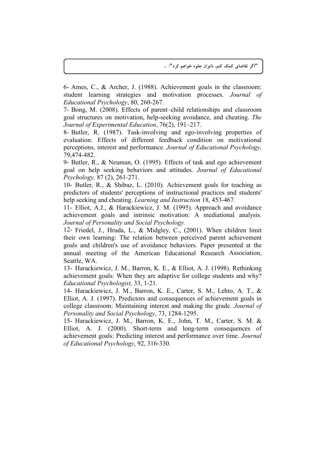6- Ames, C., & Archer, J. (1988). Achievement goals in the classroom: student learning strategies and motivation processes. *Journal of Educational Psychology*, 80, 260-267.

7- Bong, M. (2008). Effects of parent–child relationships and classroom goal structures on motivation, help-seeking avoidance, and cheating. *The Journal of Experimental Education*, 76(2), 191–217.

8- Butler, R. (1987). Task-involving and ego-involving properties of evaluation: Effects of different feedback condition on motivational perceptions, interest and performance. *Journal of Educational Psychology,*  79,474-482.

9- Butler, R., & Neuman, O. (1995). Effects of task and ego achievement goal on help seeking behaviors and attitudes. *Journal of Educational Psychology,* 87 (2), 261-271.

10- Butler, R., & Shibaz, L. (2010). Achievement goals for teaching as predictors of students' perceptions of instructional practices and students' help seeking and cheating. *Learning and Instruction* 18, 453-467.

11- Elliot, A.J., & Harackiewicz, J. M. (1995). Approach and avoidance achievement goals and intrinsic motivation: A mediational analysis. *Journal of Personality and Social Psychology.*

12- Friedel, J., Hruda, L., & Midgley, C., (2001). When children limit their own learning: The relation between perceived parent achievement goals and children's use of avoidance behaviors. Paper presented at the annual meeting of the American Educational Research Association, Seattle, WA.

13- Harackiewicz, J. M., Barron, K. E., & Elliot, A. J. (1998). Rethinking achievement goals: When they are adaptive for college students and why? *Educational Psychologist,* 33, 1-21.

14- Harackiewicz, J. M., Barron, K. E., Carter, S. M., Lehto, A. T., & Elliot, A. J. (1997). Predictors and consequences of achievement goals in college classroom: Maintaining interest and making the grade. *Journal of Personality and Social Psychology*, 73, 1284-1295.

15- Harackiewicz, J. M., Barron, K. E., John, T. M., Carter, S. M. & Elliot, A. J. (2000). Short-term and long-term consequences of achievement goals: Predicting interest and performance over time. *Journal of Educational Psychology*, 92, 316-330.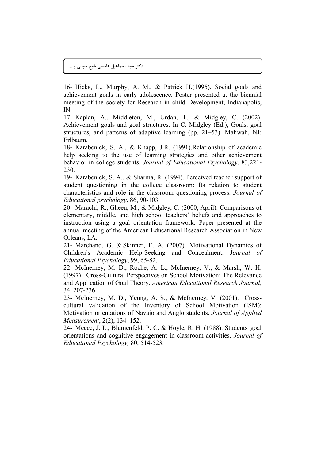دکتر سید اسماعیل هاشمی شیخ شبانی و …

16- Hicks, L., Murphy, A. M., & Patrick H.(1995). Social goals and achievement goals in early adolescence. Poster presented at the biennial meeting of the society for Research in child Development, Indianapolis, IN.

17- Kaplan, A., Middleton, M., Urdan, T., & Midgley, C. (2002). Achievement goals and goal structures. In C. Midgley (Ed.), Goals, goal structures, and patterns of adaptive learning (pp. 21–53). Mahwah, NJ: Erlbaum.

18- Karabenick, S. A., & Knapp, J.R. (1991).Relationship of academic help seeking to the use of learning strategies and other achievement behavior in college students. *Journal of Educational Psychology*, 83,221- 230.

19- Karabenick, S. A., & Sharma, R. (1994). Perceived teacher support of student questioning in the college classroom: Its relation to student characteristics and role in the classroom questioning process. *Journal of Educational psychology*, 86, 90-103.

20- Marachi, R., Gheen, M., & Midgley, C. (2000, April). Comparisons of elementary, middle, and high school teachers' beliefs and approaches to instruction using a goal orientation framework. Paper presented at the annual meeting of the American Educational Research Association in New Orleans, LA.

21- Marchand, G. & Skinner, E. A. (2007). Motivational Dynamics of Children's Academic Help-Seeking and Concealment. J*ournal of Educational Psychology*, 99, 65-82.

22- McInerney, M. D., Roche, A. L., McInerney, V., & Marsh, W. H. (1997). Cross-Cultural Perspectives on School Motivation: The Relevance and Application of Goal Theory. *American Educational Research Journal*, 34, 207-236.

23- McInerney, M. D., Yeung, A. S., & McInerney, V. (2001). Crosscultural validation of the Inventory of School Motivation (ISM): Motivation orientations of Navajo and Anglo students. *Journal of Applied Measurement*, 2(2), 134–152.

24- Meece, J. L., Blumenfeld, P. C. & Hoyle, R. H. (1988). Students' goal orientations and cognitive engagement in classroom activities. *Journal of Educational Psychology,* 80, 514-523.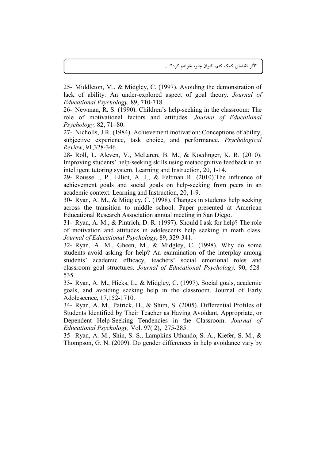25- Middleton, M., & Midgley, C. (1997). Avoiding the demonstration of lack of ability: An under-explored aspect of goal theory. *Journal of Educational Psychology,* 89, 710-718.

26- Newman, R. S. (1990). Children's help-seeking in the classroom: The role of motivational factors and attitudes. *Journal of Educational Psychology,* 82, 71–80.

27- Nicholls, J.R. (1984). Achievement motivation: Conceptions of ability, subjective experience, task choice, and performance. *Psychological Review*, 91,328-346.

28- Roll, I., Aleven, V., McLaren, B. M., & Koedinger, K. R. (2010). Improving students' help-seeking skills using metacognitive feedback in an intelligent tutoring system. Learning and Instruction, 20, 1-14.

29- Roussel, P., Elliot, A. J.,  $\&$  Feltman R. (2010). The influence of achievement goals and social goals on help-seeking from peers in an academic context. Learning and Instruction, 20, 1-9.

30- Ryan, A. M., & Midgley, C. (1998). Changes in students help seeking across the transition to middle school. Paper presented at American Educational Research Association annual meeting in San Diego.

31- Ryan, A. M., & Pintrich, D. R. (1997). Should I ask for help? The role of motivation and attitudes in adolescents help seeking in math class. *Journal of Educational Psychology*, 89, 329-341.

32- Ryan, A. M., Gheen, M., & Midgley, C. (1998). Why do some students avoid asking for help? An examination of the interplay among students' academic efficacy, teachers' social emotional roles and classroom goal structures. *Journal of Educational Psychology,* 90, 528- 535.

33- Ryan, A. M., Hicks, L., & Midgley, C. (1997). Social goals, academic goals, and avoiding seeking help in the classroom. Journal of Early Adolescence, 17,152-1710.

34- Ryan, A. M., Patrick, H., & Shim, S. (2005). Differential Profiles of Students Identified by Their Teacher as Having Avoidant, Appropriate, or Dependent Help-Seeking Tendencies in the Classroom. *Journal of Educational Psychology,* Vol. 97( 2), 275-285.

35- Ryan, A. M., Shin, S. S., Lampkins-Uthando, S. A., Kiefer, S. M., & Thompson, G. N. (2009). Do gender differences in help avoidance vary by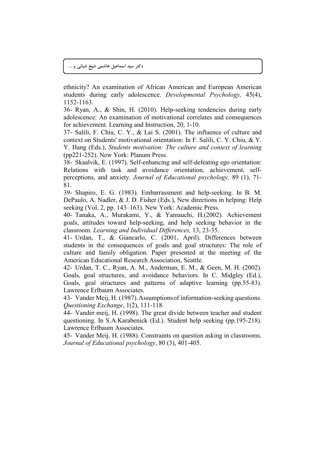دکتر سید اسماعیل هاشمی شیخ شبانی و …

ethnicity? An examination of African American and European American students during early adolescence. *Developmental Psychology,* 45(4), 1152-1163.

36- Ryan, A., & Shin, H. (2010). Help-seeking tendencies during early adolescence: An examination of motivational correlates and consequences for achievement. Learning and Instruction, 20, 1-10.

37- Salili, F. Chiu, C. Y., & Lai S. (2001). The influence of culture and context on Students' motivational orientation: In F. Salili, C. Y. Chiu, & Y. Y. Hang (Eds.), *Students motivation: The culture and context of learning* (pp221-252). New York: Planum Press.

38- Skaalvik, E. (1997). Self-enhancing and self-defeating ego orientation: Relations with task and avoidance orientation, achievement, selfperceptions, and anxiety. *Journal of Educational psychology,* 89 (1), 71- 81.

39- Shapiro, E. G. (1983). Embarrassment and help-seeking. In B. M. DePaulo, A. Nadler, & J. D. Fisher (Eds.), New directions in helping: Help seeking (Vol. 2, pp. 143–163). New York: Academic Press.

40- Tanaka, A., Murakami, Y., & Yamauchi, H.(2002). Achievement goals, attitudes toward help-seeking, and help seeking behavior in the classroom. *Learning and Individual Differences,* 13, 23-35.

41- Urdan, T., & Giancarlo, C. (2001, April). Differences between students in the consequences of goals and goal structures: The role of culture and family obligation. Paper presented at the meeting of the American Educational Research Association, Seattle.

42- Urdan, T. C., Ryan, A. M., Anderman, E. M., & Geen, M. H. (2002). Goals, goal structures, and avoidance behaviors. In C. Midgley (Ed.), Goals, geal structures and patterns of adaptive learning (pp.55-83). Lawrence Erlbaum Associates.

43- Vander Meij, H. (1987).Assumptionsof information-seeking questions. *Questioning Exchange*, 1(2), 111-118.

44- Vander meij, H. (1998). The great divide between teacher and student questioning. In S.A.Karabenick (Ed.). Student help seeking (pp.195-218). Lawrence Erlbaum Associates.

45- Vander Meij. H. (1988). Constraints on question asking in classrooms. *Journal of Educational psychology*, 80 (3), 401-405.